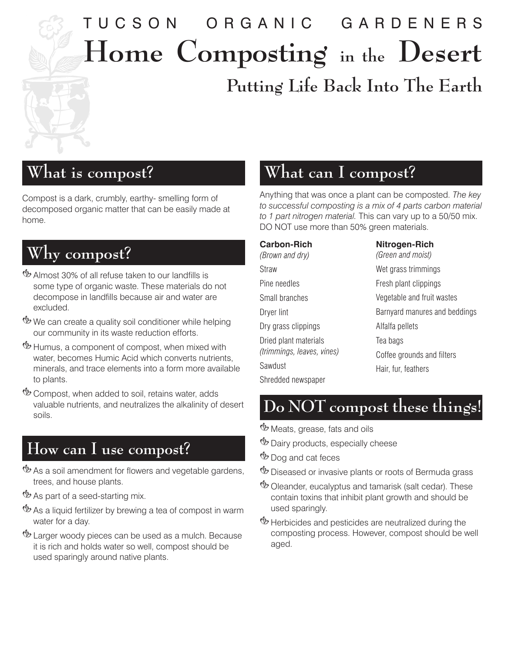# TUCSON ORGANIC GARDENERS **Home Composting in the Desert Putting Life Back Into The Earth**

# **What is compost?**

Compost is a dark, crumbly, earthy‑ smelling form of decomposed organic matter that can be easily made at home.

# **Why compost?**

- **U** Almost 30% of all refuse taken to our landfills is some type of organic waste. These materials do not decompose in landfills because air and water are excluded.
- We can create a quality soil conditioner while helping our community in its waste reduction efforts.
- **U** Humus, a component of compost, when mixed with water, becomes Humic Acid which converts nutrients, minerals, and trace elements into a form more available to plants.
- **Example Compost, when added to soil, retains water, adds** valuable nutrients, and neutralizes the alkalinity of desert soils.

## **How can I use compost?**

- **<sup>18</sup>** As a soil amendment for flowers and vegetable gardens, trees, and house plants.
- **<sup>19</sup>** As part of a seed-starting mix.
- $\mathcal{P}$  As a liquid fertilizer by brewing a tea of compost in warm water for a day.
- & Larger woody pieces can be used as a mulch. Because it is rich and holds water so well, compost should be used sparingly around native plants.

#### **What can I compost?**

Anything that was once a plant can be composted. *The key to successful composting is a mix of 4 parts carbon material to 1 part nitrogen material.* This can vary up to a 50/50 mix. DO NOT use more than 50% green materials.

| <b>Carbon-Rich</b><br>(Brown and dry) | Nitrogen-Rich<br>(Green and moist) |
|---------------------------------------|------------------------------------|
| Straw                                 | Wet grass trimmings                |
| Pine needles                          | Fresh plant clippings              |
| Small branches                        | Vegetable and fruit wastes         |
| Dryer lint                            | Barnyard manures and beddings      |
| Dry grass clippings                   | Alfalfa pellets                    |
| Dried plant materials                 | Tea bags                           |
| (trimmings, leaves, vines)            | Coffee grounds and filters         |
| Sawdust                               | Hair, fur, feathers                |
| Shredded newspaper                    |                                    |

 **Do NOT compost these things!**

**<sup>16</sup>** Meats, grease, fats and oils

- **<sup>16</sup>** Dairy products, especially cheese
- *<sup>1</sup>b* Dog and cat feces
- *W* Diseased or invasive plants or roots of Bermuda grass
- **Ex** Oleander, eucalyptus and tamarisk (salt cedar). These contain toxins that inhibit plant growth and should be used sparingly.
- **U** Herbicides and pesticides are neutralized during the composting process. However, compost should be well aged.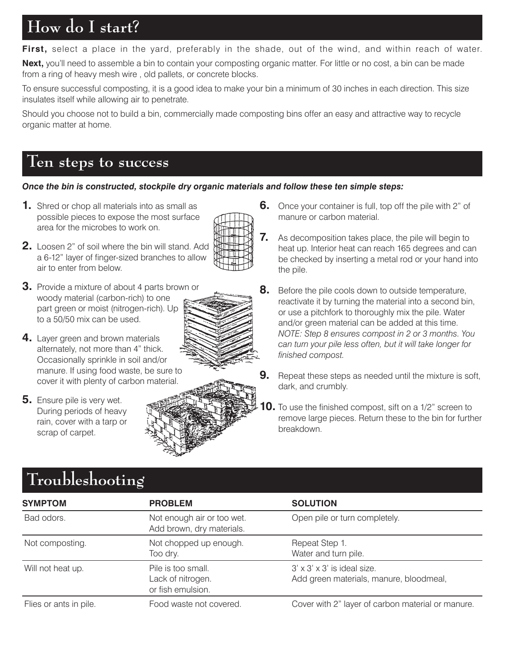# **How do I start?**

**First,** select a place in the yard, preferably in the shade, out of the wind, and within reach of water.

**Next,** you'll need to assemble a bin to contain your composting organic matter. For little or no cost, a bin can be made from a ring of heavy mesh wire , old pallets, or concrete blocks.

To ensure successful composting, it is a good idea to make your bin a minimum of 30 inches in each direction. This size insulates itself while allowing air to penetrate.

Should you choose not to build a bin, commercially made composting bins offer an easy and attractive way to recycle organic matter at home.

#### **Ten steps to success**

#### *Once the bin is constructed, stockpile dry organic materials and follow these ten simple steps:*

**1.** Shred or chop all materials into as small as possible pieces to expose the most surface area for the microbes to work on.



- **2.** Loosen 2" of soil where the bin will stand. Add a 6‑12" layer of finger‑sized branches to allow air to enter from below.
- **3.** Provide a mixture of about 4 parts brown or woody material (carbon‑rich) to one part green or moist (nitrogen-rich). Up to a 50/50 mix can be used.
- 4. Layer green and brown materials alternately, not more than 4" thick. Occasionally sprinkle in soil and/or manure. If using food waste, be sure to cover it with plenty of carbon material.
- **5.** Ensure pile is very wet. During periods of heavy rain, cover with a tarp or scrap of carpet.

**Troubleshooting**



- **6.** Once your container is full, top off the pile with 2" of manure or carbon material.
- **7.** As decomposition takes place, the pile will begin to heat up. Interior heat can reach 165 degrees and can be checked by inserting a metal rod or your hand into the pile.
- **8.** Before the pile cools down to outside temperature, reactivate it by turning the material into a second bin, or use a pitchfork to thoroughly mix the pile. Water and/or green material can be added at this time. *NOTE: Step 8 ensures compost in 2 or 3 months. You can turn your pile less often, but it will take longer for finished compost.*
- **9.** Repeat these steps as needed until the mixture is soft, dark, and crumbly.
- **10.** To use the finished compost, sift on a 1/2" screen to remove large pieces. Return these to the bin for further breakdown.

| $210$ and $100$ $0$ $0$ $115$ |                                                              |                                                                                    |
|-------------------------------|--------------------------------------------------------------|------------------------------------------------------------------------------------|
| <b>SYMPTOM</b>                | <b>PROBLEM</b>                                               | <b>SOLUTION</b>                                                                    |
| Bad odors.                    | Not enough air or too wet.<br>Add brown, dry materials.      | Open pile or turn completely.                                                      |
| Not composting.               | Not chopped up enough.<br>Too dry.                           | Repeat Step 1.<br>Water and turn pile.                                             |
| Will not heat up.             | Pile is too small.<br>Lack of nitrogen.<br>or fish emulsion. | $3' \times 3' \times 3'$ is ideal size.<br>Add green materials, manure, bloodmeal, |
| Flies or ants in pile.        | Food waste not covered.                                      | Cover with 2" layer of carbon material or manure.                                  |